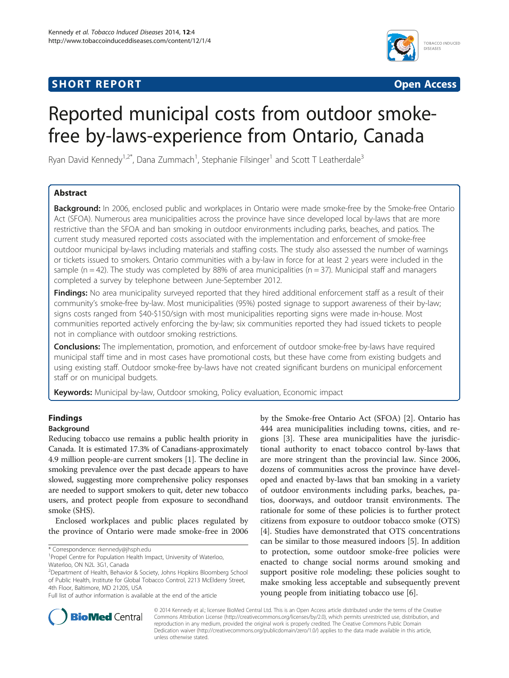# **SHORT REPORT SHORT CONSUMING THE SHORT CONSUMING THE SHORT CONSUMING THE SHORT CONSUMING THE SHORT CONSUMING THE SHORT CONSUMING THE SHORT CONSUMING THE SHORT CONSUMING THE SHORT CONSUMING THE SHORT CONSUMING THE SHORT**



# Reported municipal costs from outdoor smokefree by-laws-experience from Ontario, Canada

Ryan David Kennedy<sup>1,2\*</sup>, Dana Zummach<sup>1</sup>, Stephanie Filsinger<sup>1</sup> and Scott T Leatherdale<sup>3</sup>

# Abstract

Background: In 2006, enclosed public and workplaces in Ontario were made smoke-free by the Smoke-free Ontario Act (SFOA). Numerous area municipalities across the province have since developed local by-laws that are more restrictive than the SFOA and ban smoking in outdoor environments including parks, beaches, and patios. The current study measured reported costs associated with the implementation and enforcement of smoke-free outdoor municipal by-laws including materials and staffing costs. The study also assessed the number of warnings or tickets issued to smokers. Ontario communities with a by-law in force for at least 2 years were included in the sample ( $n = 42$ ). The study was completed by 88% of area municipalities ( $n = 37$ ). Municipal staff and managers completed a survey by telephone between June-September 2012.

Findings: No area municipality surveyed reported that they hired additional enforcement staff as a result of their community's smoke-free by-law. Most municipalities (95%) posted signage to support awareness of their by-law; signs costs ranged from \$40-\$150/sign with most municipalities reporting signs were made in-house. Most communities reported actively enforcing the by-law; six communities reported they had issued tickets to people not in compliance with outdoor smoking restrictions.

**Conclusions:** The implementation, promotion, and enforcement of outdoor smoke-free by-laws have required municipal staff time and in most cases have promotional costs, but these have come from existing budgets and using existing staff. Outdoor smoke-free by-laws have not created significant burdens on municipal enforcement staff or on municipal budgets.

Keywords: Municipal by-law, Outdoor smoking, Policy evaluation, Economic impact

# Findings

# Background

Reducing tobacco use remains a public health priority in Canada. It is estimated 17.3% of Canadians-approximately 4.9 million people-are current smokers [\[1](#page-4-0)]. The decline in smoking prevalence over the past decade appears to have slowed, suggesting more comprehensive policy responses are needed to support smokers to quit, deter new tobacco users, and protect people from exposure to secondhand smoke (SHS).

Enclosed workplaces and public places regulated by the province of Ontario were made smoke-free in 2006

\* Correspondence: [rkennedy@jhsph.edu](mailto:rkennedy@jhsph.edu) <sup>1</sup>

Waterloo, ON N2L 3G1, Canada

by the Smoke-free Ontario Act (SFOA) [[2\]](#page-4-0). Ontario has 444 area municipalities including towns, cities, and regions [[3](#page-4-0)]. These area municipalities have the jurisdictional authority to enact tobacco control by-laws that are more stringent than the provincial law. Since 2006, dozens of communities across the province have developed and enacted by-laws that ban smoking in a variety of outdoor environments including parks, beaches, patios, doorways, and outdoor transit environments. The rationale for some of these policies is to further protect citizens from exposure to outdoor tobacco smoke (OTS) [[4\]](#page-4-0). Studies have demonstrated that OTS concentrations can be similar to those measured indoors [\[5](#page-4-0)]. In addition to protection, some outdoor smoke-free policies were enacted to change social norms around smoking and support positive role modeling; these policies sought to make smoking less acceptable and subsequently prevent young people from initiating tobacco use [[6\]](#page-5-0).



© 2014 Kennedy et al.; licensee BioMed Central Ltd. This is an Open Access article distributed under the terms of the Creative Commons Attribution License [\(http://creativecommons.org/licenses/by/2.0\)](http://creativecommons.org/licenses/by/2.0), which permits unrestricted use, distribution, and reproduction in any medium, provided the original work is properly credited. The Creative Commons Public Domain Dedication waiver [\(http://creativecommons.org/publicdomain/zero/1.0/](http://creativecommons.org/publicdomain/zero/1.0/)) applies to the data made available in this article, unless otherwise stated.

<sup>&</sup>lt;sup>1</sup> Propel Centre for Population Health Impact, University of Waterloo,

<sup>&</sup>lt;sup>2</sup>Department of Health, Behavior & Society, Johns Hopkins Bloomberg School of Public Health, Institute for Global Tobacco Control, 2213 McElderry Street, 4th Floor, Baltimore, MD 21205, USA

Full list of author information is available at the end of the article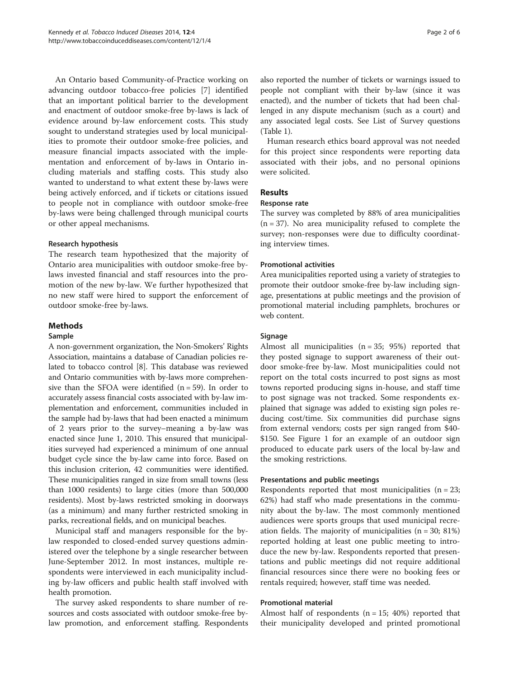An Ontario based Community-of-Practice working on advancing outdoor tobacco-free policies [\[7](#page-5-0)] identified that an important political barrier to the development and enactment of outdoor smoke-free by-laws is lack of evidence around by-law enforcement costs. This study sought to understand strategies used by local municipalities to promote their outdoor smoke-free policies, and measure financial impacts associated with the implementation and enforcement of by-laws in Ontario including materials and staffing costs. This study also wanted to understand to what extent these by-laws were being actively enforced, and if tickets or citations issued to people not in compliance with outdoor smoke-free by-laws were being challenged through municipal courts or other appeal mechanisms.

#### Research hypothesis

The research team hypothesized that the majority of Ontario area municipalities with outdoor smoke-free bylaws invested financial and staff resources into the promotion of the new by-law. We further hypothesized that no new staff were hired to support the enforcement of outdoor smoke-free by-laws.

# Methods

#### Sample

A non-government organization, the Non-Smokers' Rights Association, maintains a database of Canadian policies related to tobacco control [[8](#page-5-0)]. This database was reviewed and Ontario communities with by-laws more comprehensive than the SFOA were identified  $(n = 59)$ . In order to accurately assess financial costs associated with by-law implementation and enforcement, communities included in the sample had by-laws that had been enacted a minimum of 2 years prior to the survey–meaning a by-law was enacted since June 1, 2010. This ensured that municipalities surveyed had experienced a minimum of one annual budget cycle since the by-law came into force. Based on this inclusion criterion, 42 communities were identified. These municipalities ranged in size from small towns (less than 1000 residents) to large cities (more than 500,000 residents). Most by-laws restricted smoking in doorways (as a minimum) and many further restricted smoking in parks, recreational fields, and on municipal beaches.

Municipal staff and managers responsible for the bylaw responded to closed-ended survey questions administered over the telephone by a single researcher between June-September 2012. In most instances, multiple respondents were interviewed in each municipality including by-law officers and public health staff involved with health promotion.

The survey asked respondents to share number of resources and costs associated with outdoor smoke-free bylaw promotion, and enforcement staffing. Respondents also reported the number of tickets or warnings issued to people not compliant with their by-law (since it was enacted), and the number of tickets that had been challenged in any dispute mechanism (such as a court) and any associated legal costs. See List of Survey questions (Table [1](#page-2-0)).

Human research ethics board approval was not needed for this project since respondents were reporting data associated with their jobs, and no personal opinions were solicited.

## Results

#### Response rate

The survey was completed by 88% of area municipalities  $(n = 37)$ . No area municipality refused to complete the survey; non-responses were due to difficulty coordinating interview times.

#### Promotional activities

Area municipalities reported using a variety of strategies to promote their outdoor smoke-free by-law including signage, presentations at public meetings and the provision of promotional material including pamphlets, brochures or web content.

#### **Signage**

Almost all municipalities (n = 35; 95%) reported that they posted signage to support awareness of their outdoor smoke-free by-law. Most municipalities could not report on the total costs incurred to post signs as most towns reported producing signs in-house, and staff time to post signage was not tracked. Some respondents explained that signage was added to existing sign poles reducing cost/time. Six communities did purchase signs from external vendors; costs per sign ranged from \$40- \$150. See Figure [1](#page-3-0) for an example of an outdoor sign produced to educate park users of the local by-law and the smoking restrictions.

## Presentations and public meetings

Respondents reported that most municipalities  $(n = 23)$ ; 62%) had staff who made presentations in the community about the by-law. The most commonly mentioned audiences were sports groups that used municipal recreation fields. The majority of municipalities  $(n = 30; 81%)$ reported holding at least one public meeting to introduce the new by-law. Respondents reported that presentations and public meetings did not require additional financial resources since there were no booking fees or rentals required; however, staff time was needed.

#### Promotional material

Almost half of respondents  $(n = 15; 40%)$  reported that their municipality developed and printed promotional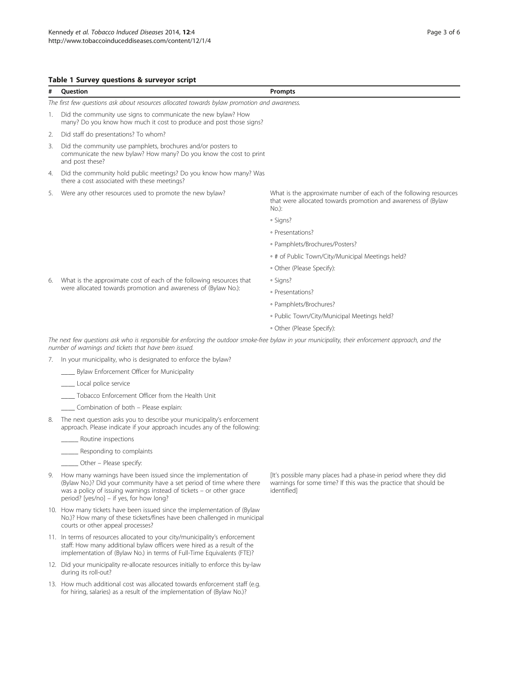#### <span id="page-2-0"></span>Table 1 Survey questions & surveyor script

| #  | <b>Ouestion</b>                                                                                                                                                                                             | Prompts                                                                                                                                       |
|----|-------------------------------------------------------------------------------------------------------------------------------------------------------------------------------------------------------------|-----------------------------------------------------------------------------------------------------------------------------------------------|
|    | The first few questions ask about resources allocated towards bylaw promotion and awareness.                                                                                                                |                                                                                                                                               |
| 1. | Did the community use signs to communicate the new bylaw? How<br>many? Do you know how much it cost to produce and post those signs?                                                                        |                                                                                                                                               |
| 2. | Did staff do presentations? To whom?                                                                                                                                                                        |                                                                                                                                               |
| 3. | Did the community use pamphlets, brochures and/or posters to<br>communicate the new bylaw? How many? Do you know the cost to print<br>and post these?                                                       |                                                                                                                                               |
| 4. | Did the community hold public meetings? Do you know how many? Was<br>there a cost associated with these meetings?                                                                                           |                                                                                                                                               |
| 5. | Were any other resources used to promote the new bylaw?                                                                                                                                                     | What is the approximate number of each of the following resources<br>that were allocated towards promotion and awareness of (Bylaw<br>$No.$ : |
|    |                                                                                                                                                                                                             | · Signs?                                                                                                                                      |
|    |                                                                                                                                                                                                             | · Presentations?                                                                                                                              |
|    |                                                                                                                                                                                                             | · Pamphlets/Brochures/Posters?                                                                                                                |
|    |                                                                                                                                                                                                             | • # of Public Town/City/Municipal Meetings held?                                                                                              |
|    |                                                                                                                                                                                                             | · Other (Please Specify):                                                                                                                     |
| 6. | What is the approximate cost of each of the following resources that<br>were allocated towards promotion and awareness of (Bylaw No.):                                                                      | · Signs?                                                                                                                                      |
|    |                                                                                                                                                                                                             | · Presentations?                                                                                                                              |
|    |                                                                                                                                                                                                             | · Pamphlets/Brochures?                                                                                                                        |
|    |                                                                                                                                                                                                             | · Public Town/City/Municipal Meetings held?                                                                                                   |
|    |                                                                                                                                                                                                             | · Other (Please Specify):                                                                                                                     |
|    | The next few questions ask who is responsible for enforcing the outdoor smoke-free bylaw in your municipality, their enforcement approach, and the<br>number of warnings and tickets that have been issued. |                                                                                                                                               |
| 7. | In your municipality, who is designated to enforce the bylaw?                                                                                                                                               |                                                                                                                                               |
|    | Bylaw Enforcement Officer for Municipality                                                                                                                                                                  |                                                                                                                                               |
|    | Local police service                                                                                                                                                                                        |                                                                                                                                               |
|    | Tobacco Enforcement Officer from the Health Unit                                                                                                                                                            |                                                                                                                                               |
|    | Combination of both - Please explain:                                                                                                                                                                       |                                                                                                                                               |
| 8. | The next question asks you to describe your municipality's enforcement<br>approach. Please indicate if your approach incudes any of the following:                                                          |                                                                                                                                               |

\_\_\_\_\_ Routine inspections

- \_\_\_\_\_ Responding to complaints
- \_\_\_\_\_ Other Please specify:
- 9. How many warnings have been issued since the implementation of (Bylaw No.)? Did your community have a set period of time where there was a policy of issuing warnings instead of tickets – or other grace period? [yes/no] – if yes, for how long?
- 10. How many tickets have been issued since the implementation of (Bylaw No.)? How many of these tickets/fines have been challenged in municipal courts or other appeal processes?
- 11. In terms of resources allocated to your city/municipality's enforcement staff: How many additional bylaw officers were hired as a result of the implementation of (Bylaw No.) in terms of Full-Time Equivalents (FTE)?
- 12. Did your municipality re-allocate resources initially to enforce this by-law during its roll-out?
- 13. How much additional cost was allocated towards enforcement staff (e.g. for hiring, salaries) as a result of the implementation of (Bylaw No.)?

[It's possible many places had a phase-in period where they did warnings for some time? If this was the practice that should be identified]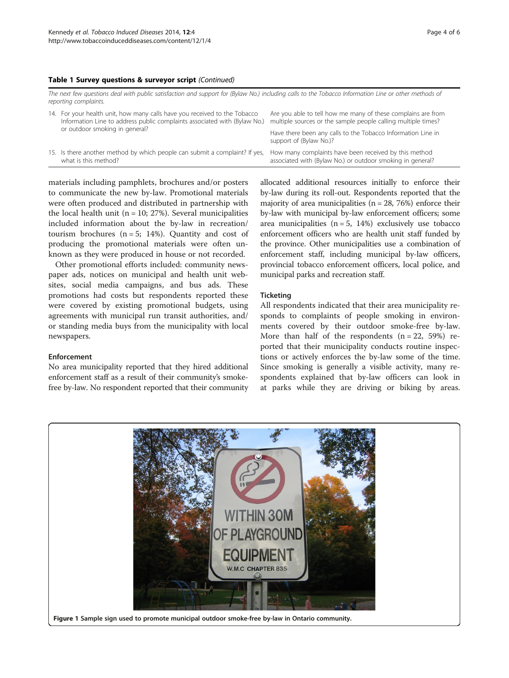#### <span id="page-3-0"></span>Table 1 Survey questions & surveyor script (Continued)

| The next few questions deal with public satisfaction and support for (Bylaw No.) including calls to the Tobacco Information Line or other methods of<br>reporting complaints. |                                                                                                                                                                                          |                                                                                                                               |  |  |
|-------------------------------------------------------------------------------------------------------------------------------------------------------------------------------|------------------------------------------------------------------------------------------------------------------------------------------------------------------------------------------|-------------------------------------------------------------------------------------------------------------------------------|--|--|
|                                                                                                                                                                               | 14. For your health unit, how many calls have you received to the Tobacco<br>Information Line to address public complaints associated with (Bylaw No.)<br>or outdoor smoking in general? | Are you able to tell how me many of these complains are from<br>multiple sources or the sample people calling multiple times? |  |  |
|                                                                                                                                                                               |                                                                                                                                                                                          | Have there been any calls to the Tobacco Information Line in<br>support of (Bylaw No.)?                                       |  |  |
|                                                                                                                                                                               | 15. Is there another method by which people can submit a complaint? If yes,<br>what is this method?                                                                                      | How many complaints have been received by this method<br>associated with (Bylaw No.) or outdoor smoking in general?           |  |  |

materials including pamphlets, brochures and/or posters to communicate the new by-law. Promotional materials were often produced and distributed in partnership with the local health unit ( $n = 10$ ; 27%). Several municipalities included information about the by-law in recreation/ tourism brochures  $(n = 5; 14%)$ . Quantity and cost of producing the promotional materials were often unknown as they were produced in house or not recorded.

Other promotional efforts included: community newspaper ads, notices on municipal and health unit websites, social media campaigns, and bus ads. These promotions had costs but respondents reported these were covered by existing promotional budgets, using agreements with municipal run transit authorities, and/ or standing media buys from the municipality with local newspapers.

Enforcement

No area municipality reported that they hired additional enforcement staff as a result of their community's smokefree by-law. No respondent reported that their community allocated additional resources initially to enforce their by-law during its roll-out. Respondents reported that the majority of area municipalities ( $n = 28$ , 76%) enforce their by-law with municipal by-law enforcement officers; some area municipalities ( $n = 5$ , 14%) exclusively use tobacco enforcement officers who are health unit staff funded by the province. Other municipalities use a combination of enforcement staff, including municipal by-law officers, provincial tobacco enforcement officers, local police, and municipal parks and recreation staff.

#### **Ticketing**

All respondents indicated that their area municipality responds to complaints of people smoking in environments covered by their outdoor smoke-free by-law. More than half of the respondents  $(n = 22, 59%)$  reported that their municipality conducts routine inspections or actively enforces the by-law some of the time. Since smoking is generally a visible activity, many respondents explained that by-law officers can look in at parks while they are driving or biking by areas.

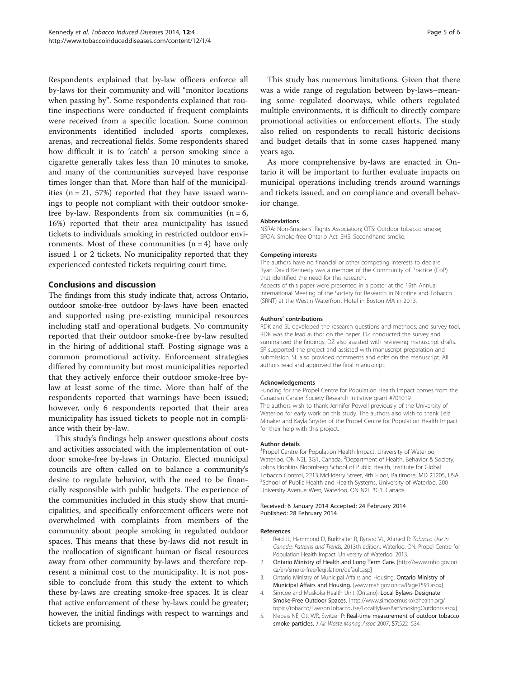<span id="page-4-0"></span>Respondents explained that by-law officers enforce all by-laws for their community and will "monitor locations when passing by". Some respondents explained that routine inspections were conducted if frequent complaints were received from a specific location. Some common environments identified included sports complexes, arenas, and recreational fields. Some respondents shared how difficult it is to 'catch' a person smoking since a cigarette generally takes less than 10 minutes to smoke, and many of the communities surveyed have response times longer than that. More than half of the municipalities  $(n = 21, 57%)$  reported that they have issued warnings to people not compliant with their outdoor smokefree by-law. Respondents from six communities  $(n = 6,$ 16%) reported that their area municipality has issued tickets to individuals smoking in restricted outdoor environments. Most of these communities  $(n = 4)$  have only issued 1 or 2 tickets. No municipality reported that they experienced contested tickets requiring court time.

#### Conclusions and discussion

The findings from this study indicate that, across Ontario, outdoor smoke-free outdoor by-laws have been enacted and supported using pre-existing municipal resources including staff and operational budgets. No community reported that their outdoor smoke-free by-law resulted in the hiring of additional staff. Posting signage was a common promotional activity. Enforcement strategies differed by community but most municipalities reported that they actively enforce their outdoor smoke-free bylaw at least some of the time. More than half of the respondents reported that warnings have been issued; however, only 6 respondents reported that their area municipality has issued tickets to people not in compliance with their by-law.

This study's findings help answer questions about costs and activities associated with the implementation of outdoor smoke-free by-laws in Ontario. Elected municipal councils are often called on to balance a community's desire to regulate behavior, with the need to be financially responsible with public budgets. The experience of the communities included in this study show that municipalities, and specifically enforcement officers were not overwhelmed with complaints from members of the community about people smoking in regulated outdoor spaces. This means that these by-laws did not result in the reallocation of significant human or fiscal resources away from other community by-laws and therefore represent a minimal cost to the municipality. It is not possible to conclude from this study the extent to which these by-laws are creating smoke-free spaces. It is clear that active enforcement of these by-laws could be greater; however, the initial findings with respect to warnings and tickets are promising.

This study has numerous limitations. Given that there was a wide range of regulation between by-laws–meaning some regulated doorways, while others regulated multiple environments, it is difficult to directly compare promotional activities or enforcement efforts. The study also relied on respondents to recall historic decisions and budget details that in some cases happened many years ago.

As more comprehensive by-laws are enacted in Ontario it will be important to further evaluate impacts on municipal operations including trends around warnings and tickets issued, and on compliance and overall behavior change.

#### Abbreviations

NSRA: Non-Smokers' Rights Association; OTS: Outdoor tobacco smoke; SFOA: Smoke-free Ontario Act; SHS: Secondhand smoke.

#### Competing interests

The authors have no financial or other competing interests to declare. Ryan David Kennedy was a member of the Community of Practice (CoP) that identified the need for this research. Aspects of this paper were presented in a poster at the 19th Annual International Meeting of the Society for Research in Nicotine and Tobacco (SRNT) at the Westin Waterfront Hotel in Boston MA in 2013.

#### Authors' contributions

RDK and SL developed the research questions and methods, and survey tool. RDK was the lead author on the paper. DZ conducted the survey and summarized the findings. DZ also assisted with reviewing manuscript drafts. SF supported the project and assisted with manuscript preparation and submission. SL also provided comments and edits on the manuscript. All authors read and approved the final manuscript.

#### Acknowledgements

Funding for the Propel Centre for Population Health Impact comes from the Canadian Cancer Society Research Initiative grant #701019. The authors wish to thank Jennifer Powell previously of the University of Waterloo for early work on this study. The authors also wish to thank Leia Minaker and Kayla Snyder of the Propel Centre for Population Health Impact for their help with this project.

#### Author details

<sup>1</sup> Propel Centre for Population Health Impact, University of Waterloo, Waterloo, ON N2L 3G1, Canada. <sup>2</sup>Department of Health, Behavior & Society, Johns Hopkins Bloomberg School of Public Health, Institute for Global Tobacco Control, 2213 McElderry Street, 4th Floor, Baltimore, MD 21205, USA. <sup>3</sup>School of Public Health and Health Systems, University of Waterloo, 200 University Avenue West, Waterloo, ON N2L 3G1, Canada.

#### Received: 6 January 2014 Accepted: 24 February 2014 Published: 28 February 2014

#### References

- Reid JL, Hammond D, Burkhalter R, Rynard VL, Ahmed R: Tobacco Use in Canada: Patterns and Trends. 2013th edition. Waterloo, ON: Propel Centre for Population Health Impact, University of Waterloo; 2013.
- 2. Ontario Ministry of Health and Long Term Care. [[http://www.mhp.gov.on.](http://www.mhp.gov.on.ca/en/smoke-free/legislation/default.asp) [ca/en/smoke-free/legislation/default.asp\]](http://www.mhp.gov.on.ca/en/smoke-free/legislation/default.asp)
- 3. Ontario Ministry of Municipal Affairs and Housing: Ontario Ministry of Municipal Affairs and Housing. [\[www.mah.gov.on.ca/Page1591.aspx\]](http://www.mah.gov.on.ca/Page1591.aspx)
- 4. Simcoe and Muskoka Health Unit (Ontario): Local Bylaws Designate Smoke-Free Outdoor Spaces. [\[http://www.simcoemuskokahealth.org/](http://www.simcoemuskokahealth.org/topics/tobacco/LawsonTobaccoUse/LocalBylawsBanSmokingOutdoors.aspx) [topics/tobacco/LawsonTobaccoUse/LocalBylawsBanSmokingOutdoors.aspx](http://www.simcoemuskokahealth.org/topics/tobacco/LawsonTobaccoUse/LocalBylawsBanSmokingOutdoors.aspx)]
- 5. Klepeis NE, Ott WR, Switzer P: Real-time measurement of outdoor tobacco smoke particles. J Air Waste Manag Assoc 2007, 57:522–534.